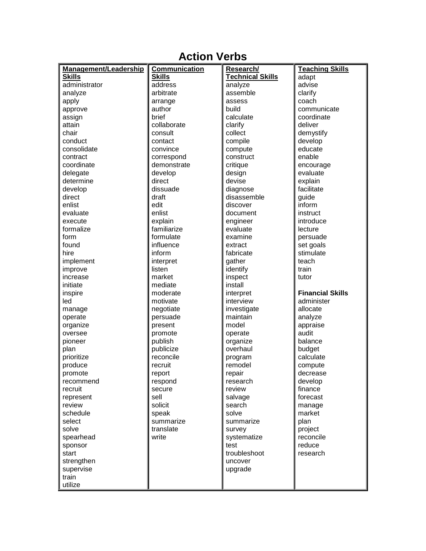## **Action Verbs**

| Management/Leadership | <b>Communication</b> | Research/               | <b>Teaching Skills</b>  |
|-----------------------|----------------------|-------------------------|-------------------------|
| <b>Skills</b>         | <b>Skills</b>        | <b>Technical Skills</b> | adapt                   |
| administrator         | address              | analyze                 | advise                  |
| analyze               | arbitrate            | assemble                | clarify                 |
| apply                 | arrange              | assess                  | coach                   |
| approve               | author               | build                   | communicate             |
| assign                | brief                | calculate               | coordinate              |
| attain                | collaborate          | clarify                 | deliver                 |
| chair                 | consult              | collect                 | demystify               |
| conduct               | contact              | compile                 | develop                 |
| consolidate           | convince             | compute                 | educate                 |
| contract              | correspond           | construct               | enable                  |
| coordinate            | demonstrate          | critique                | encourage               |
| delegate              | develop              | design                  | evaluate                |
| determine             | direct               | devise                  | explain                 |
| develop               | dissuade             | diagnose                | facilitate              |
| direct                | draft                | disassemble             | guide                   |
| enlist                | edit                 | discover                | inform                  |
| evaluate              | enlist               | document                | instruct                |
| execute               | explain              | engineer                | introduce               |
| formalize             | familiarize          | evaluate                | lecture                 |
| form                  | formulate            | examine                 | persuade                |
| found                 | influence            | extract                 | set goals               |
| hire                  | inform               | fabricate               | stimulate               |
| implement             | interpret            | gather                  | teach                   |
| improve               | listen               | identify                | train                   |
| increase              | market               | inspect                 | tutor                   |
| initiate              | mediate              | install                 |                         |
| inspire               | moderate             | interpret               | <b>Financial Skills</b> |
| led                   | motivate             | interview               | administer              |
| manage                | negotiate            | investigate             | allocate                |
| operate               | persuade             | maintain                | analyze                 |
| organize              | present              | model                   | appraise                |
| oversee               | promote              | operate                 | audit                   |
| pioneer               | publish              | organize                | balance                 |
| plan                  | publicize            | overhaul                | budget                  |
| prioritize            | reconcile            | program                 | calculate               |
| produce               | recruit              | remodel                 | compute                 |
| promote               | report               | repair                  | decrease                |
| recommend             | respond              | research                | develop                 |
| recruit               | secure               | review                  | finance                 |
| represent             | sell                 | salvage                 | forecast                |
| review                | solicit              | search                  | manage                  |
| schedule              | speak                | solve                   | market                  |
| select                | summarize            | summarize               | plan                    |
| solve                 | translate            | survey                  | project                 |
| spearhead             | write                | systematize             | reconcile               |
| sponsor               |                      | test                    | reduce                  |
| start                 |                      | troubleshoot            | research                |
| strengthen            |                      | uncover                 |                         |
| supervise             |                      | upgrade                 |                         |
| train                 |                      |                         |                         |
| utilize               |                      |                         |                         |